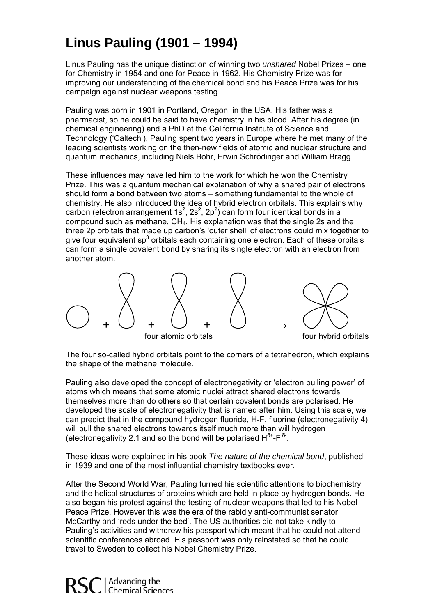## **L inus Pauling (1901 – 1994)**

improving our understanding of the chemical bond and his Peace Prize was for his Linus Pauling has the unique distinction of winning two *unshared* Nobel Prizes – one for Chemistry in 1954 and one for Peace in 1962. His Chemistry Prize was for campaign against nuclear weapons testing.

leading scientists working on the then-new fields of atomic and nuclear structure and Pauling was born in 1901 in Portland, Oregon, in the USA. His father was a pharmacist, so he could be said to have chemistry in his blood. After his degree (in chemical engineering) and a PhD at the California Institute of Science and Technology ('Caltech'), Pauling spent two years in Europe where he met many of the quantum mechanics, including Niels Bohr, Erwin Schrödinger and William Bragg.

chemistry. He also introduced the idea of hybrid electron orbitals. This explains why can form a single covalent bond by sharing its single electron with an electron from another atom. These influences may have led him to the work for which he won the Chemistry Prize. This was a quantum mechanical explanation of why a shared pair of electrons should form a bond between two atoms – something fundamental to the whole of carbon (electron arrangement 1s<sup>2</sup>, 2s<sup>2</sup>, 2p<sup>2</sup>) can form four identical bonds in a compound such as methane,  $CH<sub>4</sub>$ . His explanation was that the single 2s and the three 2p orbitals that made up carbon's 'outer shell' of electrons could mix together to give four equivalent sp<sup>3</sup> orbitals each containing one electron. Each of these orbitals



The four so-called hybrid orbitals point to the corners of a tetrahedron, which explains the shape of the methane molecule.

Pauling also developed the concept of electronegativity or 'electron pulling power' of will pull the shared electrons towards itself much more than will hydrogen atoms which means that some atomic nuclei attract shared electrons towards themselves more than do others so that certain covalent bonds are polarised. He developed the scale of electronegativity that is named after him. Using this scale, we can predict that in the compound hydrogen fluoride, H-F, fluorine (electronegativity 4) (electronegativity 2.1 and so the bond will be polarised  $H^{\delta^+}$ -F $^{\delta^-}$ .

These ideas were explained in his book *The nature of the chemical bond*, published in 1939 and one of the most influential chemistry textbooks ever.

also began his protest against the testing of nuclear weapons that led to his Nobel Pauling's activities and withdrew his passport which meant that he could not attend scientific conferences abroad. His passport was only reinstated so that he could After the Second World War, Pauling turned his scientific attentions to biochemistry and the helical structures of proteins which are held in place by hydrogen bonds. He Peace Prize. However this was the era of the rabidly anti-communist senator McCarthy and 'reds under the bed'. The US authorities did not take kindly to travel to Sweden to collect his Nobel Chemistry Prize.

Advancing the<br>Chemical Sciences